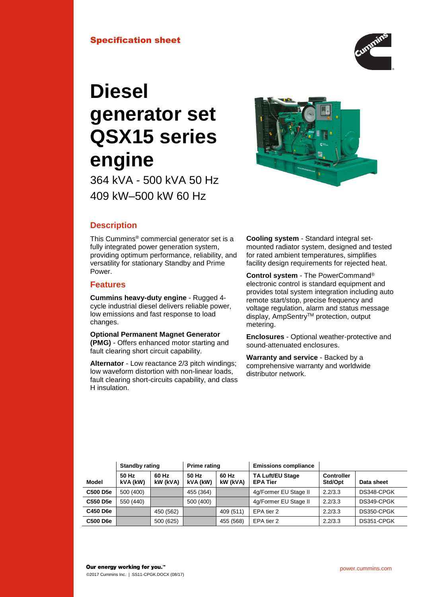

# **Diesel generator set QSX15 series engine**

364 kVA - 500 kVA 50 Hz 409 kW–500 kW 60 Hz



# **Description**

This Cummins® commercial generator set is a fully integrated power generation system, providing optimum performance, reliability, and versatility for stationary Standby and Prime Power.

# **Features**

**Cummins heavy-duty engine** - Rugged 4 cycle industrial diesel delivers reliable power, low emissions and fast response to load changes.

**Optional Permanent Magnet Generator (PMG)** - Offers enhanced motor starting and fault clearing short circuit capability.

**Alternator** - Low reactance 2/3 pitch windings; low waveform distortion with non-linear loads, fault clearing short-circuits capability, and class H insulation.

**Cooling system** - Standard integral setmounted radiator system, designed and tested for rated ambient temperatures, simplifies facility design requirements for rejected heat.

**Control system** - The PowerCommand® electronic control is standard equipment and provides total system integration including auto remote start/stop, precise frequency and voltage regulation, alarm and status message display, AmpSentry™ protection, output metering.

**Enclosures** - Optional weather-protective and sound-attenuated enclosures.

**Warranty and service** - Backed by a comprehensive warranty and worldwide distributor network.

|          | <b>Standby rating</b> |                   | <b>Prime rating</b> |                   | <b>Emissions compliance</b>                |                              |            |
|----------|-----------------------|-------------------|---------------------|-------------------|--------------------------------------------|------------------------------|------------|
| Model    | 50 Hz<br>kVA (kW)     | 60 Hz<br>kW (kVA) | 50 Hz<br>kVA (kW)   | 60 Hz<br>kW (kVA) | <b>TA Luft/EU Stage</b><br><b>EPA Tier</b> | <b>Controller</b><br>Std/Opt | Data sheet |
| C500 D5e | 500 (400)             |                   | 455 (364)           |                   | 4g/Former EU Stage II                      | 2.2/3.3                      | DS348-CPGK |
| C550 D5e | 550 (440)             |                   | 500 (400)           |                   | 4g/Former EU Stage II                      | 2.2/3.3                      | DS349-CPGK |
| C450 D6e |                       | 450 (562)         |                     | 409 (511)         | EPA tier 2                                 | 2.2/3.3                      | DS350-CPGK |
| C500 D6e |                       | 500 (625)         |                     | 455 (568)         | EPA tier 2                                 | 2.2/3.3                      | DS351-CPGK |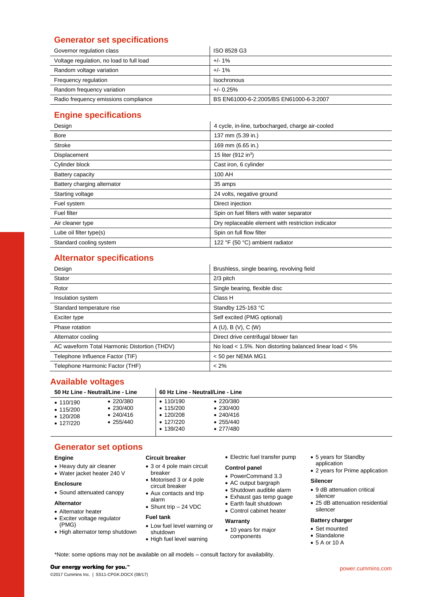# **Generator set specifications**

| Governor regulation class                | ISO 8528 G3                             |
|------------------------------------------|-----------------------------------------|
| Voltage regulation, no load to full load | $+/- 1\%$                               |
| Random voltage variation                 | $+/-1\%$                                |
| Frequency regulation                     | Isochronous                             |
| Random frequency variation               | $+/- 0.25%$                             |
| Radio frequency emissions compliance     | BS EN61000-6-2:2005/BS EN61000-6-3:2007 |

# **Engine specifications**

| Design                      | 4 cycle, in-line, turbocharged, charge air-cooled  |  |  |  |
|-----------------------------|----------------------------------------------------|--|--|--|
| <b>Bore</b>                 | 137 mm (5.39 in.)                                  |  |  |  |
| <b>Stroke</b>               | 169 mm (6.65 in.)                                  |  |  |  |
| Displacement                | 15 liter (912 in <sup>3</sup> )                    |  |  |  |
| Cylinder block              | Cast iron, 6 cylinder                              |  |  |  |
| Battery capacity            | 100 AH                                             |  |  |  |
| Battery charging alternator | 35 amps                                            |  |  |  |
| Starting voltage            | 24 volts, negative ground                          |  |  |  |
| Fuel system                 | Direct injection                                   |  |  |  |
| <b>Fuel filter</b>          | Spin on fuel filters with water separator          |  |  |  |
| Air cleaner type            | Dry replaceable element with restriction indicator |  |  |  |
| Lube oil filter type(s)     | Spin on full flow filter                           |  |  |  |
| Standard cooling system     | 122 °F (50 °C) ambient radiator                    |  |  |  |

# **Alternator specifications**

| Design                                       | Brushless, single bearing, revolving field               |
|----------------------------------------------|----------------------------------------------------------|
| Stator                                       | 2/3 pitch                                                |
| Rotor                                        | Single bearing, flexible disc                            |
| Insulation system                            | Class H                                                  |
| Standard temperature rise                    | Standby 125-163 °C                                       |
| Exciter type                                 | Self excited (PMG optional)                              |
| Phase rotation                               | A(U), B(V), C(W)                                         |
| Alternator cooling                           | Direct drive centrifugal blower fan                      |
| AC waveform Total Harmonic Distortion (THDV) | No load < 1.5%. Non distorting balanced linear load < 5% |
| Telephone Influence Factor (TIF)             | < 50 per NEMA MG1                                        |
| Telephone Harmonic Factor (THF)              | $< 2\%$                                                  |

# **Available voltages**

| 50 Hz Line - Neutral/Line - Line                                         |                                                                                  | 60 Hz Line - Neutral/Line - Line                                                              |                                                                                                       |  |
|--------------------------------------------------------------------------|----------------------------------------------------------------------------------|-----------------------------------------------------------------------------------------------|-------------------------------------------------------------------------------------------------------|--|
| $\cdot$ 110/190<br>$\cdot$ 115/200<br>$\cdot$ 120/208<br>$\cdot$ 127/220 | $\bullet$ 220/380<br>$\bullet$ 230/400<br>$\bullet$ 240/416<br>$\bullet$ 255/440 | $\cdot$ 110/190<br>$\bullet$ 115/200<br>$\cdot$ 120/208<br>$\cdot$ 127/220<br>$\cdot$ 139/240 | $\bullet$ 220/380<br>$\bullet$ 230/400<br>$\bullet$ 240/416<br>$\bullet$ 255/440<br>$\bullet$ 277/480 |  |

# **Generator set options**

#### **Engine**

- Heavy duty air cleaner
- Water jacket heater 240 V

#### **Enclosure**

Sound attenuated canopy

#### **Alternator**

- Alternator heater
- Exciter voltage regulator (PMG)
- High alternator temp shutdown

## **Circuit breaker**

- 3 or 4 pole main circuit breaker
- Motorised 3 or 4 pole circuit breaker Aux contacts and trip
- alarm
- Shunt trip 24 VDC

## **Fuel tank**

- Low fuel level warning or shutdown
- High fuel level warning

Electric fuel transfer pump

#### **Control panel**

- PowerCommand 3.3
- AC output bargraph
- Shutdown audible alarm
- Exhaust gas temp guage
- Earth fault shutdown
- Control cabinet heater

#### **Warranty**

• 10 years for major components

- 5 years for Standby application
- 2 years for Prime application

#### **Silencer**

- 9 dB attenuation critical silencer
- 25 dB attenuation residential silencer

## **Battery charger**

- Set mounted
- Standalone
- 5 A or 10 A

\*Note: some options may not be available on all models – consult factory for availability.

#### Our energy working for you.™

©2017 Cummins Inc. | SS11-CPGK.DOCX (08/17)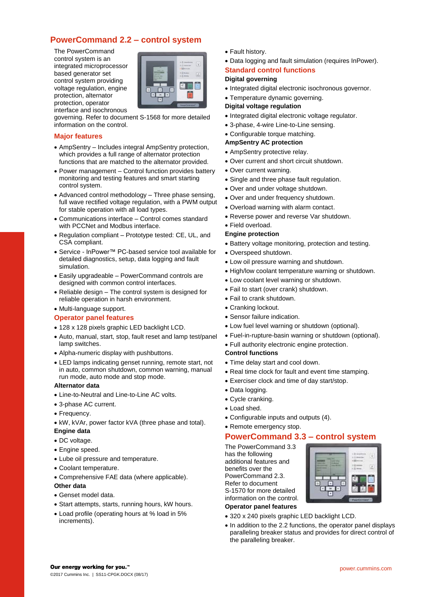# **PowerCommand 2.2 – control system**

The PowerCommand control system is an integrated microprocessor based generator set control system providing voltage regulation, engine protection, alternator protection, operator interface and isochronous



governing. Refer to document S-1568 for more detailed information on the control.

#### **Major features**

- AmpSentry Includes integral AmpSentry protection, which provides a full range of alternator protection functions that are matched to the alternator provided.
- Power management Control function provides battery monitoring and testing features and smart starting control system.
- Advanced control methodology Three phase sensing, full wave rectified voltage regulation, with a PWM output for stable operation with all load types.
- Communications interface Control comes standard with PCCNet and Modbus interface.
- Regulation compliant Prototype tested: CE, UL, and CSA compliant.
- Service InPower™ PC-based service tool available for detailed diagnostics, setup, data logging and fault simulation.
- Easily upgradeable PowerCommand controls are designed with common control interfaces.
- Reliable design The control system is designed for reliable operation in harsh environment.

#### Multi-language support.

## **Operator panel features**

- 128 x 128 pixels graphic LED backlight LCD.
- Auto, manual, start, stop, fault reset and lamp test/panel lamp switches.
- Alpha-numeric display with pushbuttons.
- LED lamps indicating genset running, remote start, not in auto, common shutdown, common warning, manual run mode, auto mode and stop mode.

#### **Alternator data**

- Line-to-Neutral and Line-to-Line AC volts.
- 3-phase AC current.
- Frequency.
- kW, kVAr, power factor kVA (three phase and total). **Engine data**
- DC voltage.
- Engine speed.
- Lube oil pressure and temperature.
- Coolant temperature.
- Comprehensive FAE data (where applicable).
- **Other data**
- Genset model data.
- Start attempts, starts, running hours, kW hours.
- Load profile (operating hours at % load in 5% increments).
- Fault history.
- Data logging and fault simulation (requires InPower).

#### **Standard control functions**

#### **Digital governing**

- Integrated digital electronic isochronous governor.
- Temperature dynamic governing.

#### **Digital voltage regulation**

- Integrated digital electronic voltage regulator.
- 3-phase, 4-wire Line-to-Line sensing.
- Configurable torque matching.

## **AmpSentry AC protection**

- AmpSentry protective relay.
- Over current and short circuit shutdown.
- Over current warning.
- Single and three phase fault regulation.
- Over and under voltage shutdown.
- Over and under frequency shutdown.
- Overload warning with alarm contact.
- Reverse power and reverse Var shutdown.

#### Field overload.

- **Engine protection**
- Battery voltage monitoring, protection and testing.
- Overspeed shutdown.
- Low oil pressure warning and shutdown.
- High/low coolant temperature warning or shutdown.
- Low coolant level warning or shutdown.
- Fail to start (over crank) shutdown.
- Fail to crank shutdown.
- Cranking lockout.
- Sensor failure indication.
- Low fuel level warning or shutdown (optional).
- Fuel-in-rupture-basin warning or shutdown (optional).
- Full authority electronic engine protection.

#### **Control functions**

- Time delay start and cool down.
- Real time clock for fault and event time stamping.
- Exerciser clock and time of day start/stop.
- Data logging.
- Cycle cranking.
- Load shed.
- Configurable inputs and outputs (4).
- Remote emergency stop.

## **PowerCommand 3.3 – control system**

The PowerCommand 3.3 has the following additional features and benefits over the PowerCommand 2.3. Refer to document S-1570 for more detailed information on the control. **Operator panel features**



## 320 x 240 pixels graphic LED backlight LCD.

• In addition to the 2.2 functions, the operator panel displays paralleling breaker status and provides for direct control of the paralleling breaker.